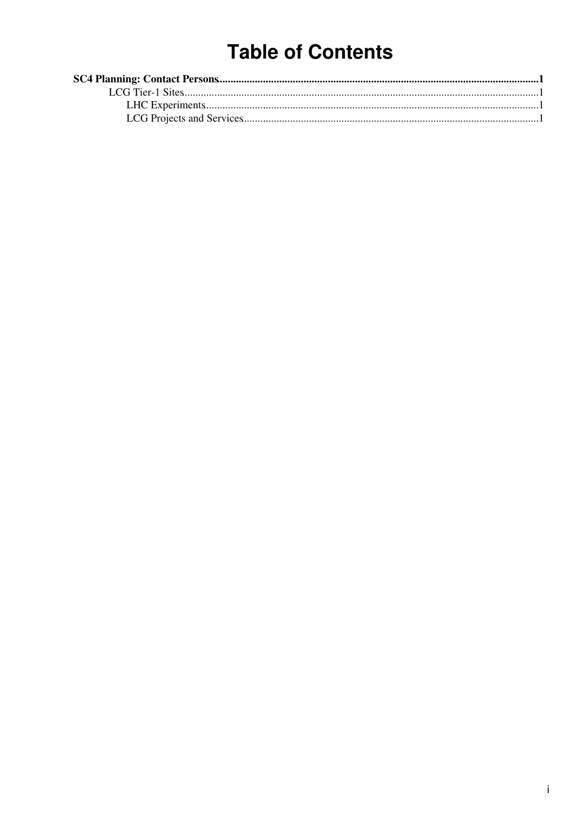# **Table of Contents**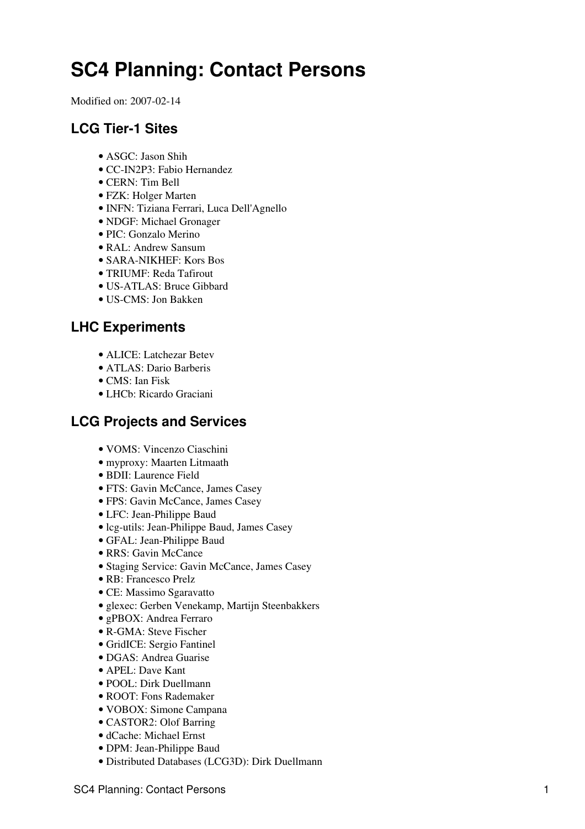## <span id="page-1-0"></span>**SC4 Planning: Contact Persons**

Modified on: 2007-02-14

## <span id="page-1-1"></span>**LCG Tier-1 Sites**

- ASGC: Jason Shih
- CC-IN2P3: Fabio Hernandez
- CERN: Tim Bell
- FZK: Holger Marten
- INFN: Tiziana Ferrari, Luca Dell'Agnello
- NDGF: Michael Gronager
- PIC: Gonzalo Merino
- [RAL](https://twiki.cern.ch/twiki/bin/view/LCG/RAL): Andrew Sansum
- SARA-NIKHEF: Kors Bos
- TRIUMF: Reda Tafirout
- US-ATLAS: Bruce Gibbard
- US-CMS: Jon Bakken

### <span id="page-1-2"></span>**LHC Experiments**

- ALICE: Latchezar Betev
- ATLAS: Dario Barberis
- CMS: Ian Fisk
- LHCb: Ricardo Graciani

#### <span id="page-1-3"></span>**LCG Projects and Services**

- VOMS: Vincenzo Ciaschini
- myproxy: Maarten Litmaath
- BDII: Laurence Field
- FTS: Gavin McCance, James Casey
- FPS: Gavin McCance, James Casey
- LFC: Jean-Philippe Baud
- lcg-utils: Jean-Philippe Baud, James Casey
- GFAL: Jean-Philippe Baud
- RRS: Gavin McCance
- Staging Service: Gavin McCance, James Casey
- RB: Francesco Prelz
- CE: Massimo Sgaravatto
- glexec: Gerben Venekamp, Martijn Steenbakkers
- gPBOX: Andrea Ferraro
- R-GMA: Steve Fischer
- GridICE: Sergio Fantinel
- DGAS: Andrea Guarise
- APEL: Dave Kant
- POOL: Dirk Duellmann
- ROOT: Fons Rademaker
- VOBOX: Simone Campana
- CASTOR2: Olof Barring
- dCache: Michael Ernst
- DPM: Jean-Philippe Baud
- Distributed Databases (LCG3D): Dirk Duellmann